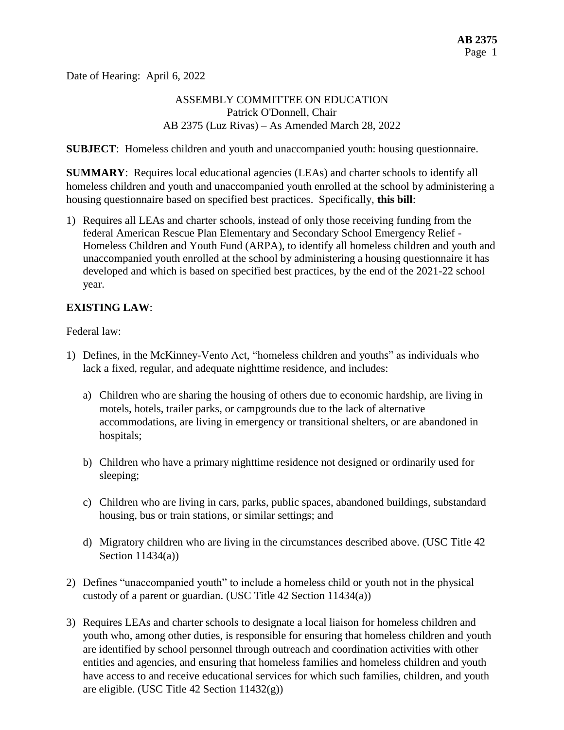Date of Hearing: April 6, 2022

## ASSEMBLY COMMITTEE ON EDUCATION Patrick O'Donnell, Chair AB 2375 (Luz Rivas) – As Amended March 28, 2022

**SUBJECT**: Homeless children and youth and unaccompanied youth: housing questionnaire.

**SUMMARY**: Requires local educational agencies (LEAs) and charter schools to identify all homeless children and youth and unaccompanied youth enrolled at the school by administering a housing questionnaire based on specified best practices. Specifically, **this bill**:

1) Requires all LEAs and charter schools, instead of only those receiving funding from the federal American Rescue Plan Elementary and Secondary School Emergency Relief - Homeless Children and Youth Fund (ARPA), to identify all homeless children and youth and unaccompanied youth enrolled at the school by administering a housing questionnaire it has developed and which is based on specified best practices, by the end of the 2021-22 school year.

## **EXISTING LAW**:

Federal law:

- 1) Defines, in the McKinney-Vento Act, "homeless children and youths" as individuals who lack a fixed, regular, and adequate nighttime residence, and includes:
	- a) Children who are sharing the housing of others due to economic hardship, are living in motels, hotels, trailer parks, or campgrounds due to the lack of alternative accommodations, are living in emergency or transitional shelters, or are abandoned in hospitals;
	- b) Children who have a primary nighttime residence not designed or ordinarily used for sleeping;
	- c) Children who are living in cars, parks, public spaces, abandoned buildings, substandard housing, bus or train stations, or similar settings; and
	- d) Migratory children who are living in the circumstances described above. (USC Title 42 Section 11434(a))
- 2) Defines "unaccompanied youth" to include a homeless child or youth not in the physical custody of a parent or guardian. (USC Title 42 Section 11434(a))
- 3) Requires LEAs and charter schools to designate a local liaison for homeless children and youth who, among other duties, is responsible for ensuring that homeless children and youth are identified by school personnel through outreach and coordination activities with other entities and agencies, and ensuring that homeless families and homeless children and youth have access to and receive educational services for which such families, children, and youth are eligible. (USC Title 42 Section 11432(g))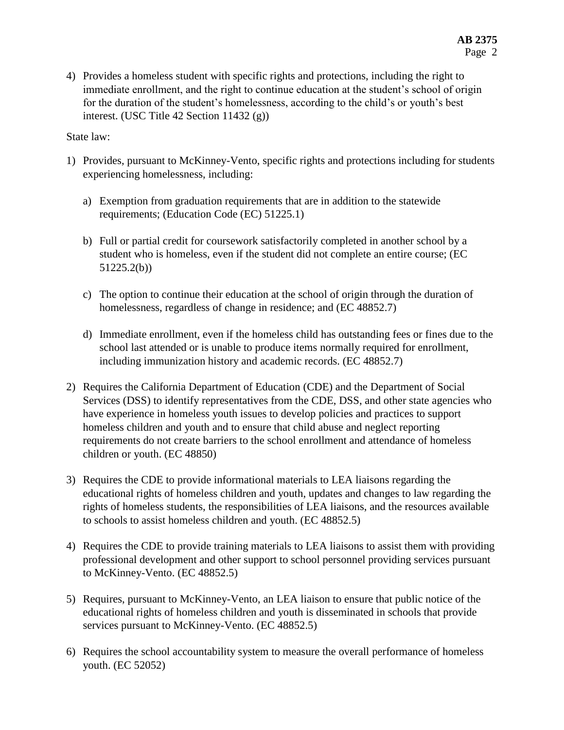State law:

- 1) Provides, pursuant to McKinney-Vento, specific rights and protections including for students experiencing homelessness, including:
	- a) Exemption from graduation requirements that are in addition to the statewide requirements; (Education Code (EC) 51225.1)
	- b) Full or partial credit for coursework satisfactorily completed in another school by a student who is homeless, even if the student did not complete an entire course; (EC 51225.2(b))
	- c) The option to continue their education at the school of origin through the duration of homelessness, regardless of change in residence; and (EC 48852.7)
	- d) Immediate enrollment, even if the homeless child has outstanding fees or fines due to the school last attended or is unable to produce items normally required for enrollment, including immunization history and academic records. (EC 48852.7)
- 2) Requires the California Department of Education (CDE) and the Department of Social Services (DSS) to identify representatives from the CDE, DSS, and other state agencies who have experience in homeless youth issues to develop policies and practices to support homeless children and youth and to ensure that child abuse and neglect reporting requirements do not create barriers to the school enrollment and attendance of homeless children or youth. (EC 48850)
- 3) Requires the CDE to provide informational materials to LEA liaisons regarding the educational rights of homeless children and youth, updates and changes to law regarding the rights of homeless students, the responsibilities of LEA liaisons, and the resources available to schools to assist homeless children and youth. (EC 48852.5)
- 4) Requires the CDE to provide training materials to LEA liaisons to assist them with providing professional development and other support to school personnel providing services pursuant to McKinney-Vento. (EC 48852.5)
- 5) Requires, pursuant to McKinney-Vento, an LEA liaison to ensure that public notice of the educational rights of homeless children and youth is disseminated in schools that provide services pursuant to McKinney-Vento. (EC 48852.5)
- 6) Requires the school accountability system to measure the overall performance of homeless youth. (EC 52052)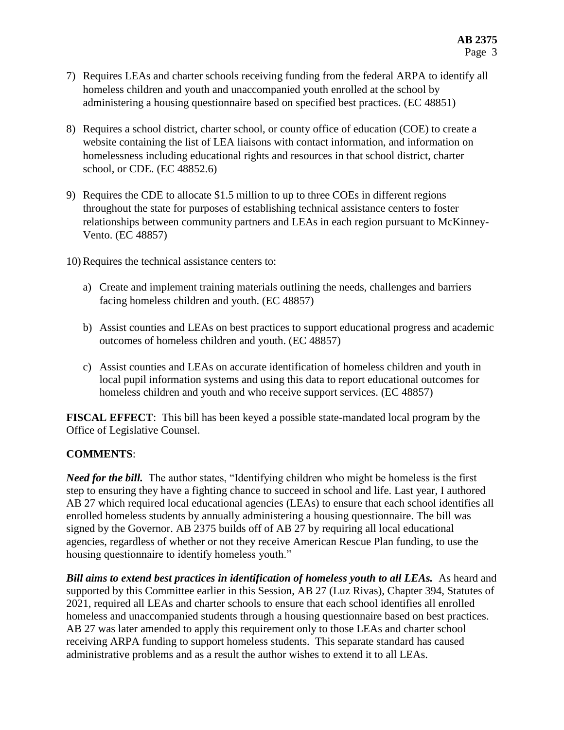- 7) Requires LEAs and charter schools receiving funding from the federal ARPA to identify all homeless children and youth and unaccompanied youth enrolled at the school by administering a housing questionnaire based on specified best practices. (EC 48851)
- 8) Requires a school district, charter school, or county office of education (COE) to create a website containing the list of LEA liaisons with contact information, and information on homelessness including educational rights and resources in that school district, charter school, or CDE. (EC 48852.6)
- 9) Requires the CDE to allocate \$1.5 million to up to three COEs in different regions throughout the state for purposes of establishing technical assistance centers to foster relationships between community partners and LEAs in each region pursuant to McKinney-Vento. (EC 48857)
- 10) Requires the technical assistance centers to:
	- a) Create and implement training materials outlining the needs, challenges and barriers facing homeless children and youth. (EC 48857)
	- b) Assist counties and LEAs on best practices to support educational progress and academic outcomes of homeless children and youth. (EC 48857)
	- c) Assist counties and LEAs on accurate identification of homeless children and youth in local pupil information systems and using this data to report educational outcomes for homeless children and youth and who receive support services. (EC 48857)

**FISCAL EFFECT**: This bill has been keyed a possible state-mandated local program by the Office of Legislative Counsel.

## **COMMENTS**:

*Need for the bill.* The author states, "Identifying children who might be homeless is the first step to ensuring they have a fighting chance to succeed in school and life. Last year, I authored AB 27 which required local educational agencies (LEAs) to ensure that each school identifies all enrolled homeless students by annually administering a housing questionnaire. The bill was signed by the Governor. AB 2375 builds off of AB 27 by requiring all local educational agencies, regardless of whether or not they receive American Rescue Plan funding, to use the housing questionnaire to identify homeless youth."

*Bill aims to extend best practices in identification of homeless youth to all LEAs.* As heard and supported by this Committee earlier in this Session, AB 27 (Luz Rivas), Chapter 394, Statutes of 2021, required all LEAs and charter schools to ensure that each school identifies all enrolled homeless and unaccompanied students through a housing questionnaire based on best practices. AB 27 was later amended to apply this requirement only to those LEAs and charter school receiving ARPA funding to support homeless students. This separate standard has caused administrative problems and as a result the author wishes to extend it to all LEAs.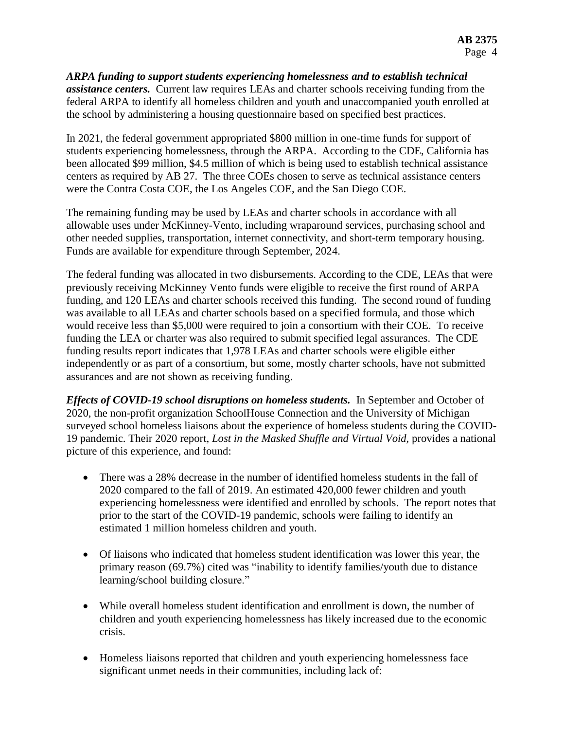*ARPA funding to support students experiencing homelessness and to establish technical assistance centers.* Current law requires LEAs and charter schools receiving funding from the federal ARPA to identify all homeless children and youth and unaccompanied youth enrolled at the school by administering a housing questionnaire based on specified best practices.

In 2021, the federal government appropriated \$800 million in one-time funds for support of students experiencing homelessness, through the ARPA. According to the CDE, California has been allocated \$99 million, \$4.5 million of which is being used to establish technical assistance centers as required by AB 27. The three COEs chosen to serve as technical assistance centers were the Contra Costa COE, the Los Angeles COE, and the San Diego COE.

The remaining funding may be used by LEAs and charter schools in accordance with all allowable uses under McKinney-Vento, including wraparound services, purchasing school and other needed supplies, transportation, internet connectivity, and short-term temporary housing. Funds are available for expenditure through September, 2024.

The federal funding was allocated in two disbursements. According to the CDE, LEAs that were previously receiving McKinney Vento funds were eligible to receive the first round of ARPA funding, and 120 LEAs and charter schools received this funding. The second round of funding was available to all LEAs and charter schools based on a specified formula, and those which would receive less than \$5,000 were required to join a consortium with their COE. To receive funding the LEA or charter was also required to submit specified legal assurances. The CDE funding results report indicates that 1,978 LEAs and charter schools were eligible either independently or as part of a consortium, but some, mostly charter schools, have not submitted assurances and are not shown as receiving funding.

*Effects of COVID-19 school disruptions on homeless students.* In September and October of 2020, the non-profit organization SchoolHouse Connection and the University of Michigan surveyed school homeless liaisons about the experience of homeless students during the COVID-19 pandemic. Their 2020 report, *Lost in the Masked Shuffle and Virtual Void,* provides a national picture of this experience, and found:

- There was a 28% decrease in the number of identified homeless students in the fall of 2020 compared to the fall of 2019. An estimated 420,000 fewer children and youth experiencing homelessness were identified and enrolled by schools. The report notes that prior to the start of the COVID-19 pandemic, schools were failing to identify an estimated 1 million homeless children and youth.
- Of liaisons who indicated that homeless student identification was lower this year, the primary reason (69.7%) cited was "inability to identify families/youth due to distance learning/school building closure."
- While overall homeless student identification and enrollment is down, the number of children and youth experiencing homelessness has likely increased due to the economic crisis.
- Homeless liaisons reported that children and youth experiencing homelessness face significant unmet needs in their communities, including lack of: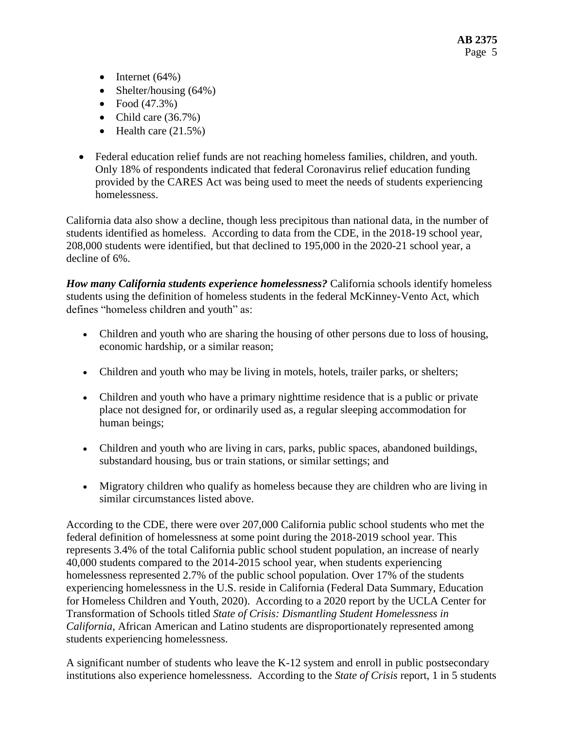- $\bullet$  Internet (64%)
- Shelter/housing (64%)
- Food  $(47.3%)$
- Child care  $(36.7\%)$
- $\bullet$  Health care (21.5%)
- Federal education relief funds are not reaching homeless families, children, and youth. Only 18% of respondents indicated that federal Coronavirus relief education funding provided by the CARES Act was being used to meet the needs of students experiencing homelessness.

California data also show a decline, though less precipitous than national data, in the number of students identified as homeless. According to data from the CDE, in the 2018-19 school year, 208,000 students were identified, but that declined to 195,000 in the 2020-21 school year, a decline of 6%.

*How many California students experience homelessness?* California schools identify homeless students using the definition of homeless students in the federal McKinney-Vento Act, which defines "homeless children and youth" as:

- Children and youth who are sharing the housing of other persons due to loss of housing, economic hardship, or a similar reason;
- Children and youth who may be living in motels, hotels, trailer parks, or shelters;
- Children and youth who have a primary nighttime residence that is a public or private place not designed for, or ordinarily used as, a regular sleeping accommodation for human beings;
- Children and youth who are living in cars, parks, public spaces, abandoned buildings, substandard housing, bus or train stations, or similar settings; and
- Migratory children who qualify as homeless because they are children who are living in similar circumstances listed above.

According to the CDE, there were over 207,000 California public school students who met the federal definition of homelessness at some point during the 2018-2019 school year. This represents 3.4% of the total California public school student population, an increase of nearly 40,000 students compared to the 2014-2015 school year, when students experiencing homelessness represented 2.7% of the public school population. Over 17% of the students experiencing homelessness in the U.S. reside in California (Federal Data Summary, Education for Homeless Children and Youth, 2020). According to a 2020 report by the UCLA Center for Transformation of Schools titled *State of Crisis: Dismantling Student Homelessness in California*, African American and Latino students are disproportionately represented among students experiencing homelessness.

A significant number of students who leave the K-12 system and enroll in public postsecondary institutions also experience homelessness. According to the *State of Crisis* report, 1 in 5 students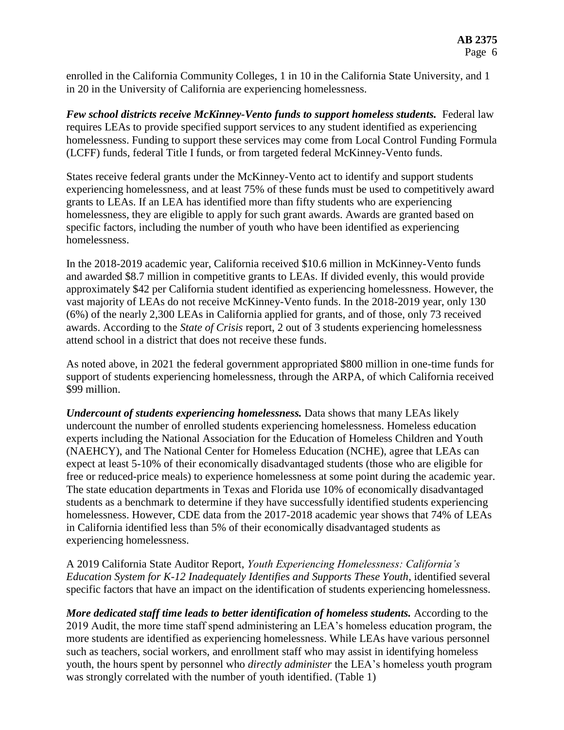enrolled in the California Community Colleges, 1 in 10 in the California State University, and 1 in 20 in the University of California are experiencing homelessness.

*Few school districts receive McKinney-Vento funds to support homeless students.* Federal law requires LEAs to provide specified support services to any student identified as experiencing homelessness. Funding to support these services may come from Local Control Funding Formula (LCFF) funds, federal Title I funds, or from targeted federal McKinney-Vento funds.

States receive federal grants under the McKinney-Vento act to identify and support students experiencing homelessness, and at least 75% of these funds must be used to competitively award grants to LEAs. If an LEA has identified more than fifty students who are experiencing homelessness, they are eligible to apply for such grant awards. Awards are granted based on specific factors, including the number of youth who have been identified as experiencing homelessness.

In the 2018-2019 academic year, California received \$10.6 million in McKinney-Vento funds and awarded \$8.7 million in competitive grants to LEAs. If divided evenly, this would provide approximately \$42 per California student identified as experiencing homelessness. However, the vast majority of LEAs do not receive McKinney-Vento funds. In the 2018-2019 year, only 130 (6%) of the nearly 2,300 LEAs in California applied for grants, and of those, only 73 received awards. According to the *State of Crisis* report, 2 out of 3 students experiencing homelessness attend school in a district that does not receive these funds.

As noted above, in 2021 the federal government appropriated \$800 million in one-time funds for support of students experiencing homelessness, through the ARPA, of which California received \$99 million.

*Undercount of students experiencing homelessness.* Data shows that many LEAs likely undercount the number of enrolled students experiencing homelessness. Homeless education experts including the National Association for the Education of Homeless Children and Youth (NAEHCY), and The National Center for Homeless Education (NCHE), agree that LEAs can expect at least 5-10% of their economically disadvantaged students (those who are eligible for free or reduced-price meals) to experience homelessness at some point during the academic year. The state education departments in Texas and Florida use 10% of economically disadvantaged students as a benchmark to determine if they have successfully identified students experiencing homelessness. However, CDE data from the 2017-2018 academic year shows that 74% of LEAs in California identified less than 5% of their economically disadvantaged students as experiencing homelessness.

A 2019 California State Auditor Report, *Youth Experiencing Homelessness: California's Education System for K-12 Inadequately Identifies and Supports These Youth*, identified several specific factors that have an impact on the identification of students experiencing homelessness.

*More dedicated staff time leads to better identification of homeless students.* According to the 2019 Audit, the more time staff spend administering an LEA's homeless education program, the more students are identified as experiencing homelessness. While LEAs have various personnel such as teachers, social workers, and enrollment staff who may assist in identifying homeless youth, the hours spent by personnel who *directly administer* the LEA's homeless youth program was strongly correlated with the number of youth identified. (Table 1)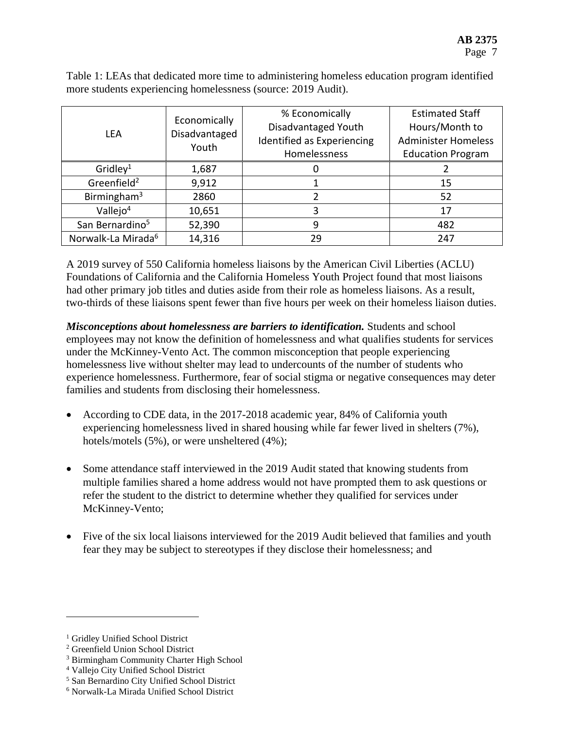Table 1: LEAs that dedicated more time to administering homeless education program identified more students experiencing homelessness (source: 2019 Audit).

| <b>LEA</b>                     | Economically<br>Disadvantaged<br>Youth | % Economically<br>Disadvantaged Youth<br>Identified as Experiencing<br>Homelessness | <b>Estimated Staff</b><br>Hours/Month to<br><b>Administer Homeless</b><br><b>Education Program</b> |  |
|--------------------------------|----------------------------------------|-------------------------------------------------------------------------------------|----------------------------------------------------------------------------------------------------|--|
| Gridley <sup>1</sup>           | 1,687                                  |                                                                                     |                                                                                                    |  |
| Greenfield <sup>2</sup>        | 9,912                                  |                                                                                     | 15                                                                                                 |  |
| Birmingham <sup>3</sup>        | 2860                                   |                                                                                     | 52                                                                                                 |  |
| Vallejo $4$                    | 10,651                                 |                                                                                     | 17                                                                                                 |  |
| San Bernardino <sup>5</sup>    | 52,390                                 | 9                                                                                   | 482                                                                                                |  |
| Norwalk-La Mirada <sup>6</sup> | 14,316                                 | 29                                                                                  | 247                                                                                                |  |

A 2019 survey of 550 California homeless liaisons by the American Civil Liberties (ACLU) Foundations of California and the California Homeless Youth Project found that most liaisons had other primary job titles and duties aside from their role as homeless liaisons. As a result, two-thirds of these liaisons spent fewer than five hours per week on their homeless liaison duties.

*Misconceptions about homelessness are barriers to identification.* Students and school employees may not know the definition of homelessness and what qualifies students for services under the McKinney-Vento Act. The common misconception that people experiencing homelessness live without shelter may lead to undercounts of the number of students who experience homelessness. Furthermore, fear of social stigma or negative consequences may deter families and students from disclosing their homelessness.

- According to CDE data, in the 2017-2018 academic year, 84% of California youth experiencing homelessness lived in shared housing while far fewer lived in shelters (7%), hotels/motels (5%), or were unsheltered (4%);
- Some attendance staff interviewed in the 2019 Audit stated that knowing students from multiple families shared a home address would not have prompted them to ask questions or refer the student to the district to determine whether they qualified for services under McKinney-Vento;
- Five of the six local liaisons interviewed for the 2019 Audit believed that families and youth fear they may be subject to stereotypes if they disclose their homelessness; and

 $\overline{a}$ 

<sup>&</sup>lt;sup>1</sup> Gridley Unified School District

<sup>2</sup> Greenfield Union School District

<sup>3</sup> Birmingham Community Charter High School

<sup>4</sup> Vallejo City Unified School District

<sup>5</sup> San Bernardino City Unified School District

<sup>6</sup> Norwalk-La Mirada Unified School District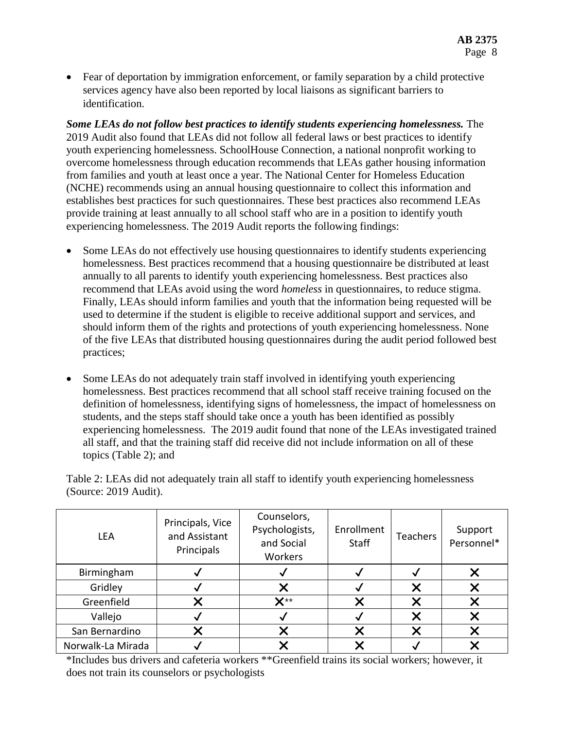Fear of deportation by immigration enforcement, or family separation by a child protective services agency have also been reported by local liaisons as significant barriers to identification.

*Some LEAs do not follow best practices to identify students experiencing homelessness.* The 2019 Audit also found that LEAs did not follow all federal laws or best practices to identify youth experiencing homelessness. SchoolHouse Connection, a national nonprofit working to overcome homelessness through education recommends that LEAs gather housing information from families and youth at least once a year. The National Center for Homeless Education (NCHE) recommends using an annual housing questionnaire to collect this information and establishes best practices for such questionnaires. These best practices also recommend LEAs provide training at least annually to all school staff who are in a position to identify youth experiencing homelessness. The 2019 Audit reports the following findings:

- Some LEAs do not effectively use housing questionnaires to identify students experiencing homelessness. Best practices recommend that a housing questionnaire be distributed at least annually to all parents to identify youth experiencing homelessness. Best practices also recommend that LEAs avoid using the word *homeless* in questionnaires, to reduce stigma. Finally, LEAs should inform families and youth that the information being requested will be used to determine if the student is eligible to receive additional support and services, and should inform them of the rights and protections of youth experiencing homelessness. None of the five LEAs that distributed housing questionnaires during the audit period followed best practices;
- Some LEAs do not adequately train staff involved in identifying youth experiencing homelessness. Best practices recommend that all school staff receive training focused on the definition of homelessness, identifying signs of homelessness, the impact of homelessness on students, and the steps staff should take once a youth has been identified as possibly experiencing homelessness. The 2019 audit found that none of the LEAs investigated trained all staff, and that the training staff did receive did not include information on all of these topics (Table 2); and

Table 2: LEAs did not adequately train all staff to identify youth experiencing homelessness (Source: 2019 Audit).

| <b>LEA</b>        | Principals, Vice<br>and Assistant<br>Principals | Counselors,<br>Psychologists,<br>and Social<br>Workers | Enrollment<br><b>Staff</b> | <b>Teachers</b> | Support<br>Personnel* |
|-------------------|-------------------------------------------------|--------------------------------------------------------|----------------------------|-----------------|-----------------------|
| Birmingham        |                                                 |                                                        |                            |                 |                       |
| Gridley           |                                                 |                                                        |                            |                 |                       |
| Greenfield        |                                                 | $\mathbf{X}^{\star\star}$                              |                            |                 |                       |
| Vallejo           |                                                 |                                                        |                            |                 |                       |
| San Bernardino    |                                                 |                                                        |                            |                 |                       |
| Norwalk-La Mirada |                                                 |                                                        |                            |                 |                       |

\*Includes bus drivers and cafeteria workers \*\*Greenfield trains its social workers; however, it does not train its counselors or psychologists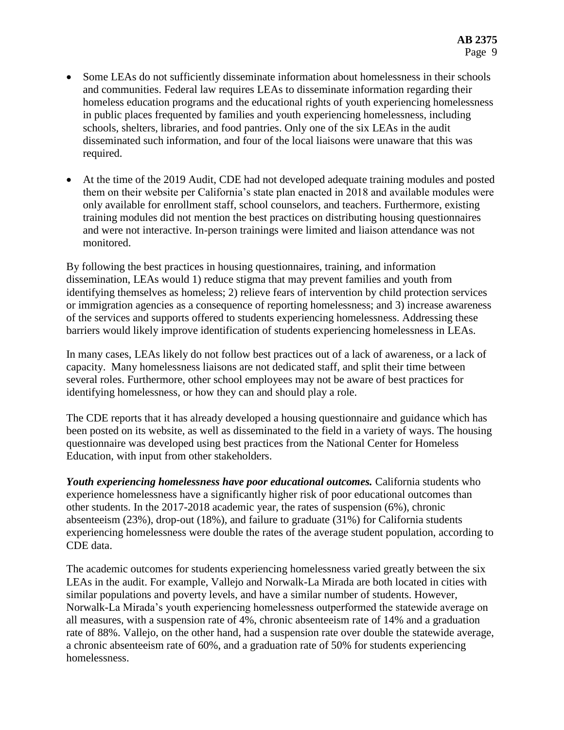- Some LEAs do not sufficiently disseminate information about homelessness in their schools and communities. Federal law requires LEAs to disseminate information regarding their homeless education programs and the educational rights of youth experiencing homelessness in public places frequented by families and youth experiencing homelessness, including schools, shelters, libraries, and food pantries. Only one of the six LEAs in the audit disseminated such information, and four of the local liaisons were unaware that this was required.
- At the time of the 2019 Audit, CDE had not developed adequate training modules and posted them on their website per California's state plan enacted in 2018 and available modules were only available for enrollment staff, school counselors, and teachers. Furthermore, existing training modules did not mention the best practices on distributing housing questionnaires and were not interactive. In-person trainings were limited and liaison attendance was not monitored.

By following the best practices in housing questionnaires, training, and information dissemination, LEAs would 1) reduce stigma that may prevent families and youth from identifying themselves as homeless; 2) relieve fears of intervention by child protection services or immigration agencies as a consequence of reporting homelessness; and 3) increase awareness of the services and supports offered to students experiencing homelessness. Addressing these barriers would likely improve identification of students experiencing homelessness in LEAs.

In many cases, LEAs likely do not follow best practices out of a lack of awareness, or a lack of capacity. Many homelessness liaisons are not dedicated staff, and split their time between several roles. Furthermore, other school employees may not be aware of best practices for identifying homelessness, or how they can and should play a role.

The CDE reports that it has already developed a housing questionnaire and guidance which has been posted on its website, as well as disseminated to the field in a variety of ways. The housing questionnaire was developed using best practices from the National Center for Homeless Education, with input from other stakeholders.

*Youth experiencing homelessness have poor educational outcomes.* California students who experience homelessness have a significantly higher risk of poor educational outcomes than other students. In the 2017-2018 academic year, the rates of suspension (6%), chronic absenteeism (23%), drop-out (18%), and failure to graduate (31%) for California students experiencing homelessness were double the rates of the average student population, according to CDE data.

The academic outcomes for students experiencing homelessness varied greatly between the six LEAs in the audit. For example, Vallejo and Norwalk-La Mirada are both located in cities with similar populations and poverty levels, and have a similar number of students. However, Norwalk-La Mirada's youth experiencing homelessness outperformed the statewide average on all measures, with a suspension rate of 4%, chronic absenteeism rate of 14% and a graduation rate of 88%. Vallejo, on the other hand, had a suspension rate over double the statewide average, a chronic absenteeism rate of 60%, and a graduation rate of 50% for students experiencing homelessness.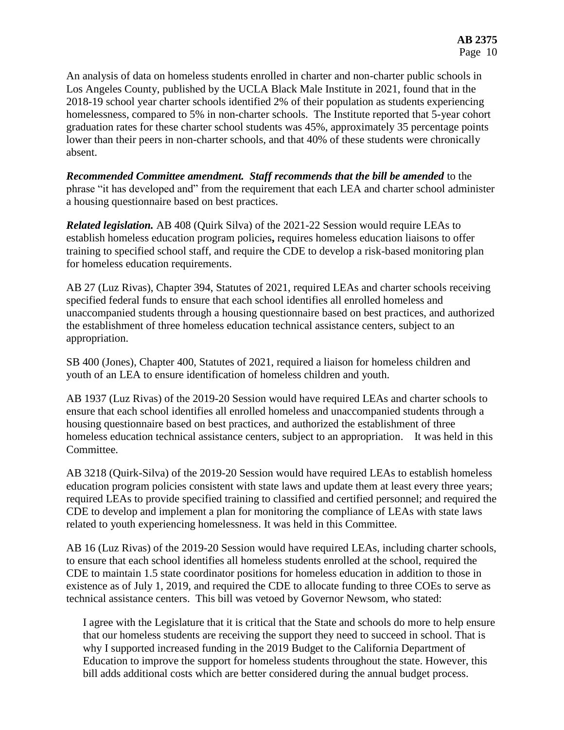An analysis of data on homeless students enrolled in charter and non-charter public schools in Los Angeles County, published by the UCLA Black Male Institute in 2021, found that in the 2018-19 school year charter schools identified 2% of their population as students experiencing homelessness, compared to 5% in non-charter schools. The Institute reported that 5-year cohort graduation rates for these charter school students was 45%, approximately 35 percentage points lower than their peers in non-charter schools, and that 40% of these students were chronically absent.

*Recommended Committee amendment. Staff recommends that the bill be amended* to the phrase "it has developed and" from the requirement that each LEA and charter school administer a housing questionnaire based on best practices.

*Related legislation.* AB 408 (Quirk Silva) of the 2021-22 Session would require LEAs to establish homeless education program policies**,** requires homeless education liaisons to offer training to specified school staff, and require the CDE to develop a risk-based monitoring plan for homeless education requirements.

AB 27 (Luz Rivas), Chapter 394, Statutes of 2021, required LEAs and charter schools receiving specified federal funds to ensure that each school identifies all enrolled homeless and unaccompanied students through a housing questionnaire based on best practices, and authorized the establishment of three homeless education technical assistance centers, subject to an appropriation.

SB 400 (Jones), Chapter 400, Statutes of 2021, required a liaison for homeless children and youth of an LEA to ensure identification of homeless children and youth.

AB 1937 (Luz Rivas) of the 2019-20 Session would have required LEAs and charter schools to ensure that each school identifies all enrolled homeless and unaccompanied students through a housing questionnaire based on best practices, and authorized the establishment of three homeless education technical assistance centers, subject to an appropriation. It was held in this Committee.

AB 3218 (Quirk-Silva) of the 2019-20 Session would have required LEAs to establish homeless education program policies consistent with state laws and update them at least every three years; required LEAs to provide specified training to classified and certified personnel; and required the CDE to develop and implement a plan for monitoring the compliance of LEAs with state laws related to youth experiencing homelessness. It was held in this Committee.

AB 16 (Luz Rivas) of the 2019-20 Session would have required LEAs, including charter schools, to ensure that each school identifies all homeless students enrolled at the school, required the CDE to maintain 1.5 state coordinator positions for homeless education in addition to those in existence as of July 1, 2019, and required the CDE to allocate funding to three COEs to serve as technical assistance centers. This bill was vetoed by Governor Newsom, who stated:

I agree with the Legislature that it is critical that the State and schools do more to help ensure that our homeless students are receiving the support they need to succeed in school. That is why I supported increased funding in the 2019 Budget to the California Department of Education to improve the support for homeless students throughout the state. However, this bill adds additional costs which are better considered during the annual budget process.